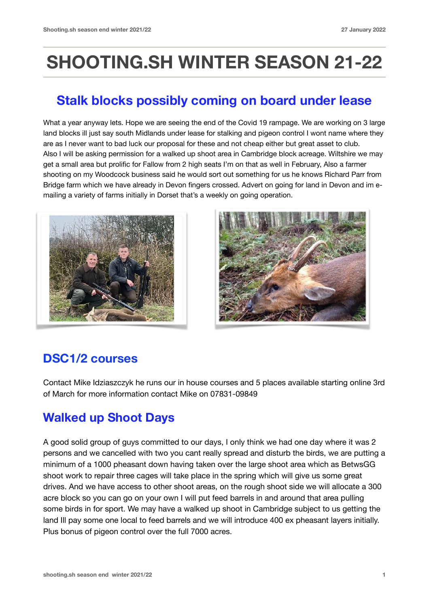# **SHOOTING.SH WINTER SEASON 21-22**

# **Stalk blocks possibly coming on board under lease**

What a year anyway lets. Hope we are seeing the end of the Covid 19 rampage. We are working on 3 large land blocks ill just say south Midlands under lease for stalking and pigeon control I wont name where they are as I never want to bad luck our proposal for these and not cheap either but great asset to club. Also I will be asking permission for a walked up shoot area in Cambridge block acreage. Wiltshire we may get a small area but prolific for Fallow from 2 high seats I'm on that as well in February, Also a farmer shooting on my Woodcock business said he would sort out something for us he knows Richard Parr from Bridge farm which we have already in Devon fingers crossed. Advert on going for land in Devon and im emailing a variety of farms initially in Dorset that's a weekly on going operation.





## **DSC1/2 courses**

Contact Mike Idziaszczyk he runs our in house courses and 5 places available starting online 3rd of March for more information contact Mike on 07831-09849

## **Walked up Shoot Days**

A good solid group of guys committed to our days, I only think we had one day where it was 2 persons and we cancelled with two you cant really spread and disturb the birds, we are putting a minimum of a 1000 pheasant down having taken over the large shoot area which as BetwsGG shoot work to repair three cages will take place in the spring which will give us some great drives. And we have access to other shoot areas, on the rough shoot side we will allocate a 300 acre block so you can go on your own I will put feed barrels in and around that area pulling some birds in for sport. We may have a walked up shoot in Cambridge subject to us getting the land Ill pay some one local to feed barrels and we will introduce 400 ex pheasant layers initially. Plus bonus of pigeon control over the full 7000 acres.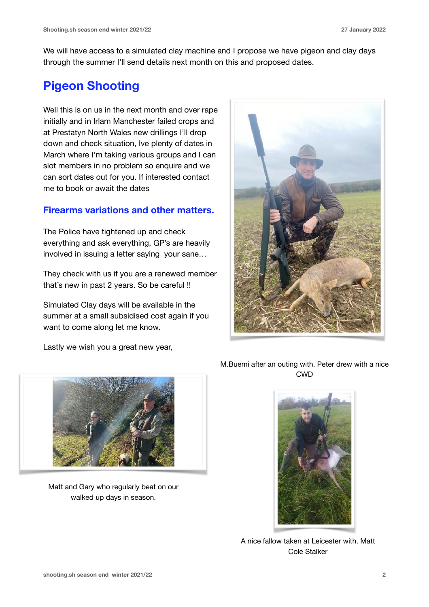We will have access to a simulated clay machine and I propose we have pigeon and clay days through the summer I'll send details next month on this and proposed dates.

## **Pigeon Shooting**

Well this is on us in the next month and over rape initially and in Irlam Manchester failed crops and at Prestatyn North Wales new drillings I'll drop down and check situation, Ive plenty of dates in March where I'm taking various groups and I can slot members in no problem so enquire and we can sort dates out for you. If interested contact me to book or await the dates

#### **Firearms variations and other matters.**

The Police have tightened up and check everything and ask everything, GP's are heavily involved in issuing a letter saying your sane…

They check with us if you are a renewed member that's new in past 2 years. So be careful !!

Simulated Clay days will be available in the summer at a small subsidised cost again if you want to come along let me know.

Lastly we wish you a great new year,





Matt and Gary who regularly beat on our walked up days in season.

M.Buemi after an outing with. Peter drew with a nice CWD



A nice fallow taken at Leicester with. Matt Cole Stalker